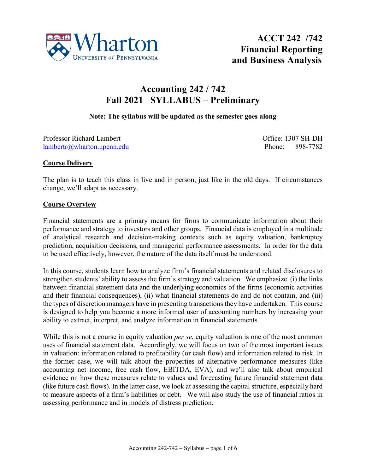

# **Accounting 242 / 742 Fall 2021 SYLLABUS – Preliminary**

#### **Note: The syllabus will be updated as the semester goes along**

Professor Richard Lambert Christian Communication Communication Communication Communication Communication Communication Communication Communication Communication Communication Communication Communication Communication Comm [lambertr@wharton.upenn.edu](mailto:lambertr@wharton.upenn.edu) Phone: 898-7782

#### **Course Delivery**

The plan is to teach this class in live and in person, just like in the old days. If circumstances change, we'll adapt as necessary.

#### **Course Overview**

Financial statements are a primary means for firms to communicate information about their performance and strategy to investors and other groups. Financial data is employed in a multitude of analytical research and decision-making contexts such as equity valuation, bankruptcy prediction, acquisition decisions, and managerial performance assessments. In order for the data to be used effectively, however, the nature of the data itself must be understood.

In this course, students learn how to analyze firm's financial statements and related disclosures to strengthen students' ability to assess the firm's strategy and valuation. We emphasize (i) the links between financial statement data and the underlying economics of the firms (economic activities and their financial consequences), (ii) what financial statements do and do not contain, and (iii) the types of discretion managers have in presenting transactions they have undertaken. This course is designed to help you become a more informed user of accounting numbers by increasing your ability to extract, interpret, and analyze information in financial statements.

While this is not a course in equity valuation *per se*, equity valuation is one of the most common uses of financial statement data. Accordingly, we will focus on two of the most important issues in valuation: information related to profitability (or cash flow) and information related to risk. In the former case, we will talk about the properties of alternative performance measures (like accounting net income, free cash flow, EBITDA, EVA), and we'll also talk about empirical evidence on how these measures relate to values and forecasting future financial statement data (like future cash flows). In the latter case, we look at assessing the capital structure, especially hard to measure aspects of a firm's liabilities or debt. We will also study the use of financial ratios in assessing performance and in models of distress prediction.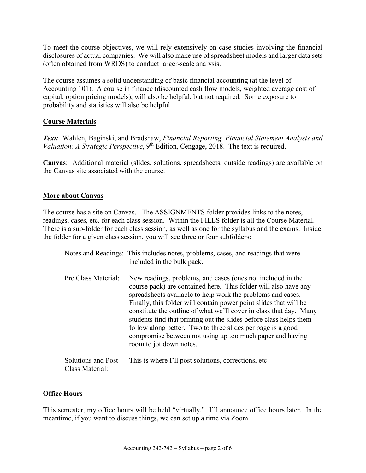To meet the course objectives, we will rely extensively on case studies involving the financial disclosures of actual companies. We will also make use of spreadsheet models and larger data sets (often obtained from WRDS) to conduct larger-scale analysis.

The course assumes a solid understanding of basic financial accounting (at the level of Accounting 101). A course in finance (discounted cash flow models, weighted average cost of capital, option pricing models), will also be helpful, but not required. Some exposure to probability and statistics will also be helpful.

# **Course Materials**

*Text:* Wahlen, Baginski, and Bradshaw, *Financial Reporting, Financial Statement Analysis and Valuation: A Strategic Perspective*, 9<sup>th</sup> Edition, Cengage, 2018. The text is required.

**Canvas**: Additional material (slides, solutions, spreadsheets, outside readings) are available on the Canvas site associated with the course.

#### **More about Canvas**

The course has a site on Canvas. The ASSIGNMENTS folder provides links to the notes, readings, cases, etc. for each class session. Within the FILES folder is all the Course Material. There is a sub-folder for each class session, as well as one for the syllabus and the exams. Inside the folder for a given class session, you will see three or four subfolders:

|                                       | Notes and Readings: This includes notes, problems, cases, and readings that were<br>included in the bulk pack.                                                                                                                                                                                                                                                                                                                                                                                                                                                        |
|---------------------------------------|-----------------------------------------------------------------------------------------------------------------------------------------------------------------------------------------------------------------------------------------------------------------------------------------------------------------------------------------------------------------------------------------------------------------------------------------------------------------------------------------------------------------------------------------------------------------------|
| Pre Class Material:                   | New readings, problems, and cases (ones not included in the<br>course pack) are contained here. This folder will also have any<br>spreadsheets available to help work the problems and cases.<br>Finally, this folder will contain power point slides that will be<br>constitute the outline of what we'll cover in class that day. Many<br>students find that printing out the slides before class helps them<br>follow along better. Two to three slides per page is a good<br>compromise between not using up too much paper and having<br>room to jot down notes. |
| Solutions and Post<br>Class Material: | This is where I'll post solutions, corrections, etc.                                                                                                                                                                                                                                                                                                                                                                                                                                                                                                                  |

#### **Office Hours**

This semester, my office hours will be held "virtually." I'll announce office hours later. In the meantime, if you want to discuss things, we can set up a time via Zoom.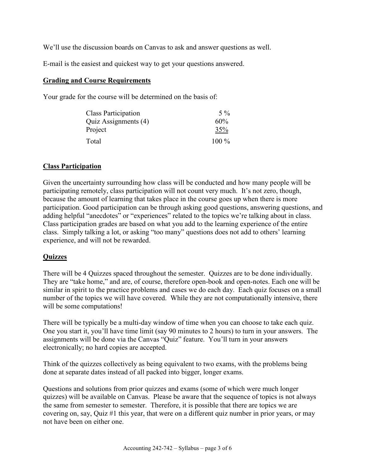We'll use the discussion boards on Canvas to ask and answer questions as well.

E-mail is the easiest and quickest way to get your questions answered.

#### **Grading and Course Requirements**

Your grade for the course will be determined on the basis of:

| <b>Class Participation</b> | $5\%$   |
|----------------------------|---------|
| Quiz Assignments (4)       | 60%     |
| Project                    | 35%     |
| Total                      | $100\%$ |

#### **Class Participation**

Given the uncertainty surrounding how class will be conducted and how many people will be participating remotely, class participation will not count very much. It's not zero, though, because the amount of learning that takes place in the course goes up when there is more participation. Good participation can be through asking good questions, answering questions, and adding helpful "anecdotes" or "experiences" related to the topics we're talking about in class. Class participation grades are based on what you add to the learning experience of the entire class. Simply talking a lot, or asking "too many" questions does not add to others' learning experience, and will not be rewarded.

# **Quizzes**

There will be 4 Quizzes spaced throughout the semester. Quizzes are to be done individually. They are "take home," and are, of course, therefore open-book and open-notes. Each one will be similar in spirit to the practice problems and cases we do each day. Each quiz focuses on a small number of the topics we will have covered. While they are not computationally intensive, there will be some computations!

There will be typically be a multi-day window of time when you can choose to take each quiz. One you start it, you'll have time limit (say 90 minutes to 2 hours) to turn in your answers. The assignments will be done via the Canvas "Quiz" feature. You'll turn in your answers electronically; no hard copies are accepted.

Think of the quizzes collectively as being equivalent to two exams, with the problems being done at separate dates instead of all packed into bigger, longer exams.

Questions and solutions from prior quizzes and exams (some of which were much longer quizzes) will be available on Canvas. Please be aware that the sequence of topics is not always the same from semester to semester. Therefore, it is possible that there are topics we are covering on, say, Quiz #1 this year, that were on a different quiz number in prior years, or may not have been on either one.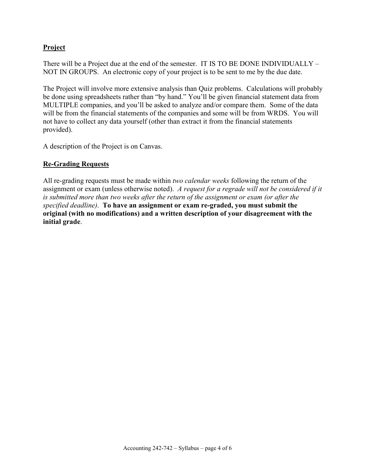# **Project**

There will be a Project due at the end of the semester. IT IS TO BE DONE INDIVIDUALLY – NOT IN GROUPS. An electronic copy of your project is to be sent to me by the due date.

The Project will involve more extensive analysis than Quiz problems. Calculations will probably be done using spreadsheets rather than "by hand." You'll be given financial statement data from MULTIPLE companies, and you'll be asked to analyze and/or compare them. Some of the data will be from the financial statements of the companies and some will be from WRDS. You will not have to collect any data yourself (other than extract it from the financial statements provided).

A description of the Project is on Canvas.

# **Re-Grading Requests**

All re-grading requests must be made within *two calendar weeks* following the return of the assignment or exam (unless otherwise noted). *A request for a regrade will not be considered if it is submitted more than two weeks after the return of the assignment or exam (or after the specified deadline)*. **To have an assignment or exam re-graded, you must submit the original (with no modifications) and a written description of your disagreement with the initial grade**.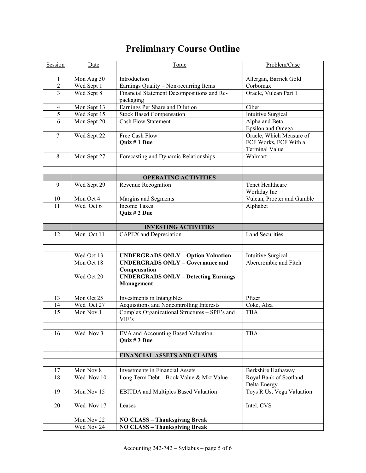# **Preliminary Course Outline**

| Session        | Date         | Topic                                                   | Problem/Case                        |
|----------------|--------------|---------------------------------------------------------|-------------------------------------|
| 1              | Mon Aug 30   | Introduction                                            | Allergan, Barrick Gold              |
| $\overline{c}$ | Wed Sept 1   | Earnings Quality - Non-recurring Items                  | Corbomax                            |
| 3              | Wed Sept 8   | Financial Statement Decompositions and Re-              | Oracle, Vulcan Part 1               |
|                |              | packaging                                               |                                     |
| $\overline{4}$ | Mon Sept 13  | Earnings Per Share and Dilution                         | Ciber                               |
| 5              | Wed Sept 15  | <b>Stock Based Compensation</b>                         | Intuitive Surgical                  |
| 6              | Mon Sept 20  | <b>Cash Flow Statement</b>                              | Alpha and Beta<br>Epsilon and Omega |
| $\tau$         | Wed Sept 22  | Free Cash Flow                                          | Oracle, Which Measure of            |
|                |              | Quiz #1 Due                                             | FCF Works, FCF With a               |
|                |              |                                                         | <b>Terminal Value</b>               |
| 8              | Mon Sept 27  | Forecasting and Dynamic Relationships                   | Walmart                             |
|                |              |                                                         |                                     |
|                |              | <b>OPERATING ACTIVITIES</b>                             |                                     |
| 9              | Wed Sept 29  | Revenue Recognition                                     | Tenet Healthcare                    |
|                |              |                                                         | Workday Inc                         |
| 10             | Mon Oct 4    | Margins and Segments                                    | Vulcan, Procter and Gamble          |
| 11             | Wed Oct 6    | <b>Income Taxes</b>                                     | Alphabet                            |
|                |              | Quiz # 2 Due                                            |                                     |
|                |              |                                                         |                                     |
|                |              | <b>INVESTING ACTIVITIES</b>                             |                                     |
| 12             | Mon Oct 11   | CAPEX and Depreciation                                  | <b>Land Securities</b>              |
|                |              |                                                         |                                     |
|                | Wed Oct 13   | <b>UNDERGRADS ONLY - Option Valuation</b>               | Intuitive Surgical                  |
|                | Mon Oct $18$ | <b>UNDERGRADS ONLY - Governance and</b><br>Compensation | Abercrombie and Fitch               |
|                | Wed Oct 20   | <b>UNDERGRADS ONLY - Detecting Earnings</b>             |                                     |
|                |              | Management                                              |                                     |
|                |              |                                                         |                                     |
| 13             | Mon Oct 25   | Investments in Intangibles                              | Pfizer                              |
| 14             | Wed Oct 27   | Acquisitions and Noncontrolling Interests               | Coke, Alza                          |
| 15             | Mon Nov 1    | Complex Organizational Structures - SPE's and<br>VIE's  | <b>TBA</b>                          |
| 16             | Wed Nov 3    | EVA and Accounting Based Valuation                      | <b>TBA</b>                          |
|                |              | Quiz # 3 Due                                            |                                     |
|                |              |                                                         |                                     |
|                |              | FINANCIAL ASSETS AND CLAIMS                             |                                     |
|                |              |                                                         |                                     |
| 17             | Mon Nov 8    | Investments in Financial Assets                         | Berkshire Hathaway                  |
| 18             | Wed Nov 10   | Long Term Debt - Book Value & Mkt Value                 | Royal Bank of Scotland              |
|                |              |                                                         | Delta Energy                        |
| 19             | Mon Nov $15$ | <b>EBITDA</b> and Multiples Based Valuation             | Toys R Us, Vega Valuation           |
| 20             | Wed Nov 17   | Leases                                                  | Intel, CVS                          |
|                |              |                                                         |                                     |
|                | Mon Nov 22   | <b>NO CLASS - Thanksgiving Break</b>                    |                                     |
|                | Wed Nov 24   | <b>NO CLASS - Thanksgiving Break</b>                    |                                     |